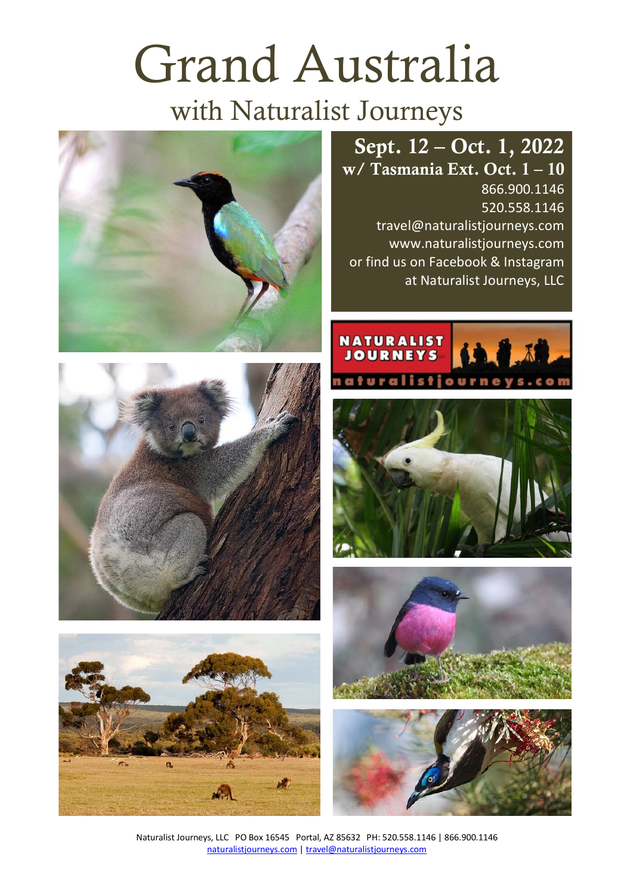# Grand Australia

# with Naturalist Journeys

# Sept. 12 – Oct. 1, 2022

w/ Tasmania Ext. Oct. 1 – 10 866.900.1146 520.558.1146 travel@naturalistjourneys.com www.naturalistjourneys.com or find us on Facebook & Instagram at Naturalist Journeys, LLC













Naturalist Journeys, LLC PO Box 16545 Portal, AZ 85632 PH: 520.558.1146 | 866.900.1146 naturalistjourneys.com | travel@naturalistjourneys.com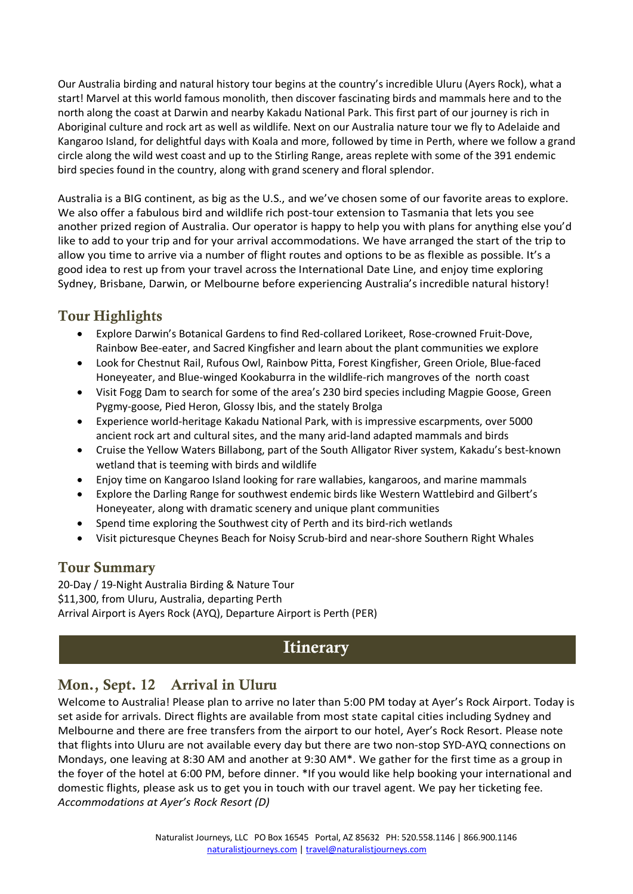Our Australia birding and natural history tour begins at the country's incredible Uluru (Ayers Rock), what a start! Marvel at this world famous monolith, then discover fascinating birds and mammals here and to the north along the coast at Darwin and nearby Kakadu National Park. This first part of our journey is rich in Aboriginal culture and rock art as well as wildlife. Next on our Australia nature tour we fly to Adelaide and Kangaroo Island, for delightful days with Koala and more, followed by time in Perth, where we follow a grand circle along the wild west coast and up to the Stirling Range, areas replete with some of the 391 endemic bird species found in the country, along with grand scenery and floral splendor.

Australia is a BIG continent, as big as the U.S., and we've chosen some of our favorite areas to explore. We also offer a fabulous bird and wildlife rich post-tour extension to Tasmania that lets you see another prized region of Australia. Our operator is happy to help you with plans for anything else you'd like to add to your trip and for your arrival accommodations. We have arranged the start of the trip to allow you time to arrive via a number of flight routes and options to be as flexible as possible. It's a good idea to rest up from your travel across the International Date Line, and enjoy time exploring Sydney, Brisbane, Darwin, or Melbourne before experiencing Australia's incredible natural history!

#### Tour Highlights

- Explore Darwin's Botanical Gardens to find Red-collared Lorikeet, Rose-crowned Fruit-Dove, Rainbow Bee-eater, and Sacred Kingfisher and learn about the plant communities we explore
- Look for Chestnut Rail, Rufous Owl, Rainbow Pitta, Forest Kingfisher, Green Oriole, Blue-faced Honeyeater, and Blue-winged Kookaburra in the wildlife-rich mangroves of the north coast
- Visit Fogg Dam to search for some of the area's 230 bird species including Magpie Goose, Green Pygmy-goose, Pied Heron, Glossy Ibis, and the stately Brolga
- Experience world-heritage Kakadu National Park, with is impressive escarpments, over 5000 ancient rock art and cultural sites, and the many arid-land adapted mammals and birds
- Cruise the Yellow Waters Billabong, part of the South Alligator River system, Kakadu's best-known wetland that is teeming with birds and wildlife
- Enjoy time on Kangaroo Island looking for rare wallabies, kangaroos, and marine mammals
- Explore the Darling Range for southwest endemic birds like Western Wattlebird and Gilbert's Honeyeater, along with dramatic scenery and unique plant communities
- Spend time exploring the Southwest city of Perth and its bird-rich wetlands
- Visit picturesque Cheynes Beach for Noisy Scrub-bird and near-shore Southern Right Whales

#### Tour Summary

20-Day / 19-Night Australia Birding & Nature Tour \$11,300, from Uluru, Australia, departing Perth Arrival Airport is Ayers Rock (AYQ), Departure Airport is Perth (PER)

### **Itinerary**

#### Mon., Sept. 12 Arrival in Uluru

Welcome to Australia! Please plan to arrive no later than 5:00 PM today at Ayer's Rock Airport. Today is set aside for arrivals. Direct flights are available from most state capital cities including Sydney and Melbourne and there are free transfers from the airport to our hotel, Ayer's Rock Resort. Please note that flights into Uluru are not available every day but there are two non-stop SYD-AYQ connections on Mondays, one leaving at 8:30 AM and another at 9:30 AM\*. We gather for the first time as a group in the foyer of the hotel at 6:00 PM, before dinner. \*If you would like help booking your international and domestic flights, please ask us to get you in touch with our travel agent. We pay her ticketing fee. *Accommodations at Ayer's Rock Resort (D)*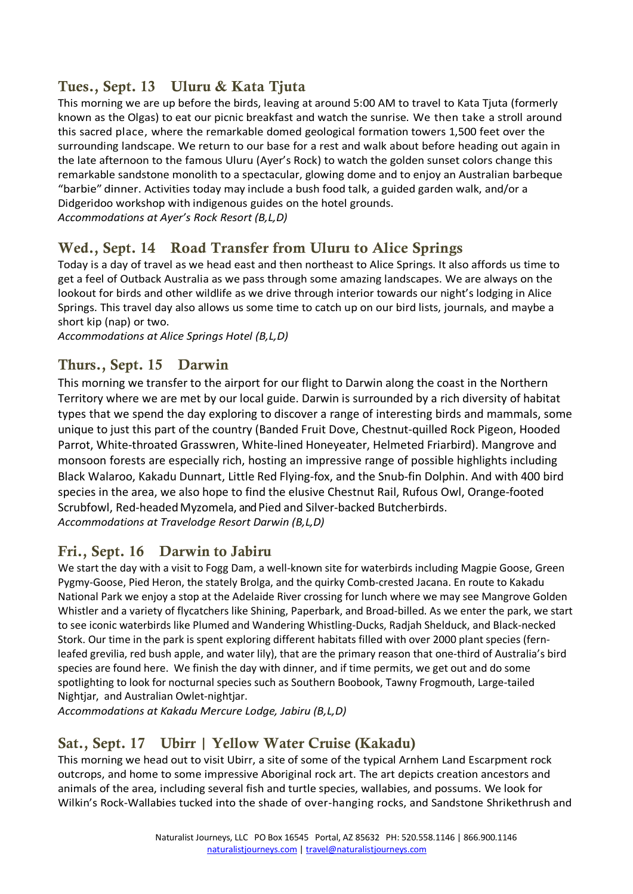#### Tues., Sept. 13 Uluru & Kata Tjuta

This morning we are up before the birds, leaving at around 5:00 AM to travel to Kata Tjuta (formerly known as the Olgas) to eat our picnic breakfast and watch the sunrise. We then take a stroll around this sacred place, where the remarkable domed geological formation towers 1,500 feet over the surrounding landscape. We return to our base for a rest and walk about before heading out again in the late afternoon to the famous Uluru (Ayer's Rock) to watch the golden sunset colors change this remarkable sandstone monolith to a spectacular, glowing dome and to enjoy an Australian barbeque "barbie" dinner. Activities today may include a bush food talk, a guided garden walk, and/or a Didgeridoo workshop with indigenous guides on the hotel grounds. *Accommodations at Ayer's Rock Resort (B,L,D)*

#### Wed., Sept. 14 Road Transfer from Uluru to Alice Springs

Today is a day of travel as we head east and then northeast to Alice Springs. It also affords us time to get a feel of Outback Australia as we pass through some amazing landscapes. We are always on the lookout for birds and other wildlife as we drive through interior towards our night's lodging in Alice Springs. This travel day also allows us some time to catch up on our bird lists, journals, and maybe a short kip (nap) or two.

*Accommodations at Alice Springs Hotel (B,L,D)*

#### Thurs., Sept. 15 Darwin

This morning we transfer to the airport for our flight to Darwin along the coast in the Northern Territory where we are met by our local guide. Darwin is surrounded by a rich diversity of habitat types that we spend the day exploring to discover a range of interesting birds and mammals, some unique to just this part of the country (Banded Fruit Dove, Chestnut-quilled Rock Pigeon, Hooded Parrot, White-throated Grasswren, White-lined Honeyeater, Helmeted Friarbird). Mangrove and monsoon forests are especially rich, hosting an impressive range of possible highlights including Black Walaroo, Kakadu Dunnart, Little Red Flying-fox, and the Snub-fin Dolphin. And with 400 bird species in the area, we also hope to find the elusive Chestnut Rail, Rufous Owl, Orange-footed Scrubfowl, Red-headed Myzomela, and Pied and Silver-backed Butcherbirds. *Accommodations at Travelodge Resort Darwin (B,L,D)*

#### Fri., Sept. 16 Darwin to Jabiru

We start the day with a visit to Fogg Dam, a well-known site for waterbirds including Magpie Goose, Green Pygmy-Goose, Pied Heron, the stately Brolga, and the quirky Comb-crested Jacana. En route to Kakadu National Park we enjoy a stop at the Adelaide River crossing for lunch where we may see Mangrove Golden Whistler and a variety of flycatchers like Shining, Paperbark, and Broad-billed. As we enter the park, we start to see iconic waterbirds like Plumed and Wandering Whistling-Ducks, Radjah Shelduck, and Black-necked Stork. Our time in the park is spent exploring different habitats filled with over 2000 plant species (fernleafed grevilia, red bush apple, and water lily), that are the primary reason that one-third of Australia's bird species are found here. We finish the day with dinner, and if time permits, we get out and do some spotlighting to look for nocturnal species such as Southern Boobook, Tawny Frogmouth, Large-tailed Nightjar, and Australian Owlet-nightjar.

*Accommodations at Kakadu Mercure Lodge, Jabiru (B,L,D)*

#### Sat., Sept. 17 Ubirr | Yellow Water Cruise (Kakadu)

This morning we head out to visit Ubirr, a site of some of the typical Arnhem Land Escarpment rock outcrops, and home to some impressive Aboriginal rock art. The art depicts creation ancestors and animals of the area, including several fish and turtle species, wallabies, and possums. We look for Wilkin's Rock-Wallabies tucked into the shade of over-hanging rocks, and Sandstone Shrikethrush and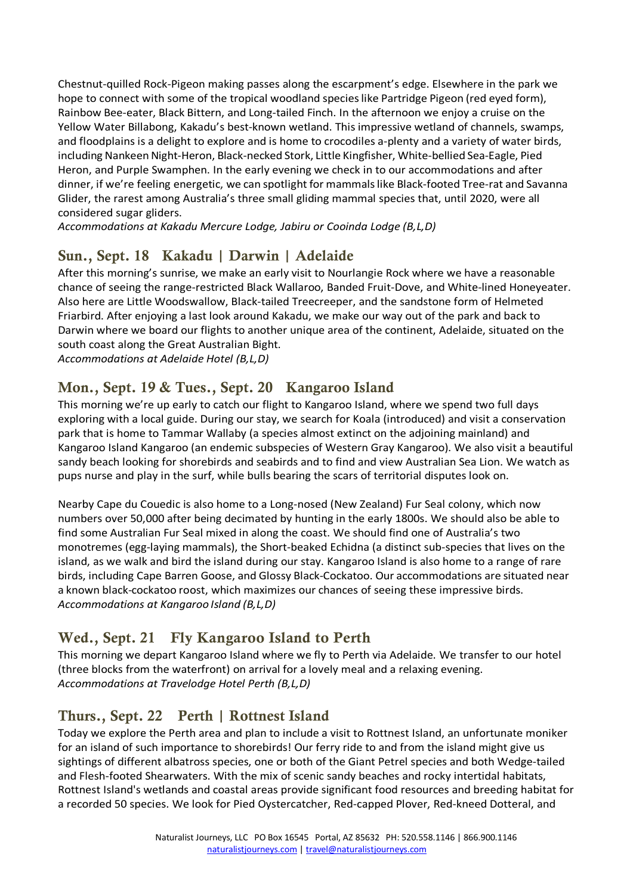Chestnut-quilled Rock-Pigeon making passes along the escarpment's edge. Elsewhere in the park we hope to connect with some of the tropical woodland species like Partridge Pigeon (red eyed form), Rainbow Bee-eater, Black Bittern, and Long-tailed Finch. In the afternoon we enjoy a cruise on the Yellow Water Billabong, Kakadu's best-known wetland. This impressive wetland of channels, swamps, and floodplains is a delight to explore and is home to crocodiles a-plenty and a variety of water birds, including Nankeen Night-Heron, Black-necked Stork, Little Kingfisher, White-bellied Sea-Eagle, Pied Heron, and Purple Swamphen. In the early evening we check in to our accommodations and after dinner, if we're feeling energetic, we can spotlight for mammalslike Black-footed Tree-rat and Savanna Glider, the rarest among Australia's three small gliding mammal species that, until 2020, were all considered sugar gliders.

*Accommodations at Kakadu Mercure Lodge, Jabiru or Cooinda Lodge (B,L,D)*

## Sun., Sept. 18 Kakadu | Darwin | Adelaide

After this morning's sunrise, we make an early visit to Nourlangie Rock where we have a reasonable chance of seeing the range-restricted Black Wallaroo, Banded Fruit-Dove, and White-lined Honeyeater. Also here are Little Woodswallow, Black-tailed Treecreeper, and the sandstone form of Helmeted Friarbird. After enjoying a last look around Kakadu, we make our way out of the park and back to Darwin where we board our flights to another unique area of the continent, Adelaide, situated on the south coast along the Great Australian Bight.

*Accommodations at Adelaide Hotel (B,L,D)*

#### Mon., Sept. 19 & Tues., Sept. 20 Kangaroo Island

This morning we're up early to catch our flight to Kangaroo Island, where we spend two full days exploring with a local guide. During our stay, we search for Koala (introduced) and visit a conservation park that is home to Tammar Wallaby (a species almost extinct on the adjoining mainland) and Kangaroo Island Kangaroo (an endemic subspecies of Western Gray Kangaroo). We also visit a beautiful sandy beach looking for shorebirds and seabirds and to find and view Australian Sea Lion. We watch as pups nurse and play in the surf, while bulls bearing the scars of territorial disputes look on.

Nearby Cape du Couedic is also home to a Long-nosed (New Zealand) Fur Seal colony, which now numbers over 50,000 after being decimated by hunting in the early 1800s. We should also be able to find some Australian Fur Seal mixed in along the coast. We should find one of Australia's two monotremes (egg-laying mammals), the Short-beaked Echidna (a distinct sub-species that lives on the island, as we walk and bird the island during our stay. Kangaroo Island is also home to a range of rare birds, including Cape Barren Goose, and Glossy Black-Cockatoo. Our accommodations are situated near a known black-cockatoo roost, which maximizes our chances of seeing these impressive birds. *Accommodations at Kangaroo Island (B,L,D)*

### Wed., Sept. 21 Fly Kangaroo Island to Perth

This morning we depart Kangaroo Island where we fly to Perth via Adelaide. We transfer to our hotel (three blocks from the waterfront) on arrival for a lovely meal and a relaxing evening. *Accommodations at Travelodge Hotel Perth (B,L,D)*

#### Thurs., Sept. 22 Perth | Rottnest Island

Today we explore the Perth area and plan to include a visit to Rottnest Island, an unfortunate moniker for an island of such importance to shorebirds! Our ferry ride to and from the island might give us sightings of different albatross species, one or both of the Giant Petrel species and both Wedge-tailed and Flesh-footed Shearwaters. With the mix of scenic sandy beaches and rocky intertidal habitats, Rottnest Island's wetlands and coastal areas provide significant food resources and breeding habitat for a recorded 50 species. We look for Pied Oystercatcher, Red-capped Plover, Red-kneed Dotteral, and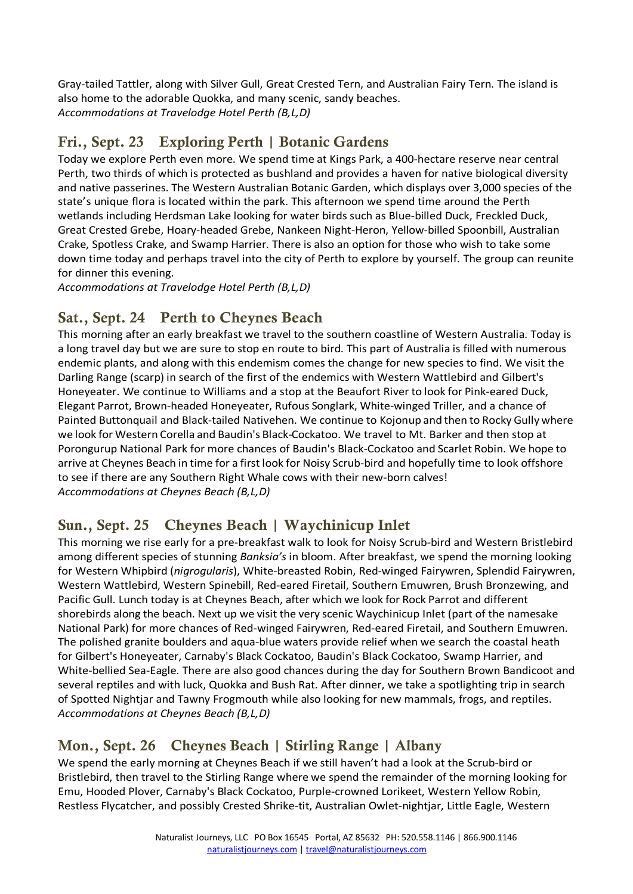Gray-tailed Tattler, along with Silver Gull, Great Crested Tern, and Australian Fairy Tern. The island is also home to the adorable Quokka, and many scenic, sandy beaches. *Accommodations at Travelodge Hotel Perth (B,L,D)*

### Fri., Sept. 23 Exploring Perth | Botanic Gardens

Today we explore Perth even more. We spend time at Kings Park, a 400-hectare reserve near central Perth, two thirds of which is protected as bushland and provides a haven for native biological diversity and native passerines. The Western Australian Botanic Garden, which displays over 3,000 species of the state's unique flora is located within the park. This afternoon we spend time around the Perth wetlands including Herdsman Lake looking for water birds such as Blue-billed Duck, Freckled Duck, Great Crested Grebe, Hoary-headed Grebe, Nankeen Night-Heron, Yellow-billed Spoonbill, Australian Crake, Spotless Crake, and Swamp Harrier. There is also an option for those who wish to take some down time today and perhaps travel into the city of Perth to explore by yourself. The group can reunite for dinner this evening.

*Accommodations at Travelodge Hotel Perth (B,L,D)*

#### Sat., Sept. 24 Perth to Cheynes Beach

This morning after an early breakfast we travel to the southern coastline of Western Australia. Today is a long travel day but we are sure to stop en route to bird. This part of Australia is filled with numerous endemic plants, and along with this endemism comes the change for new species to find. We visit the Darling Range (scarp) in search of the first of the endemics with Western Wattlebird and Gilbert's Honeyeater. We continue to Williams and a stop at the Beaufort River to look for Pink-eared Duck, Elegant Parrot, Brown-headed Honeyeater, Rufous Songlark, White-winged Triller, and a chance of Painted Buttonquail and Black-tailed Nativehen. We continue to Kojonup and then to Rocky Gully where we look for Western Corella and Baudin's Black-Cockatoo. We travel to Mt. Barker and then stop at Porongurup National Park for more chances of Baudin's Black-Cockatoo and Scarlet Robin. We hope to arrive at Cheynes Beach in time for a first look for Noisy Scrub-bird and hopefully time to look offshore to see if there are any Southern Right Whale cows with their new-born calves! *Accommodations at Cheynes Beach (B,L,D)*

#### Sun., Sept. 25 Cheynes Beach | Waychinicup Inlet

This morning we rise early for a pre-breakfast walk to look for Noisy Scrub-bird and Western Bristlebird among different species of stunning *Banksia's* in bloom. After breakfast, we spend the morning looking for Western Whipbird (*nigrogularis*), White-breasted Robin, Red-winged Fairywren, Splendid Fairywren, Western Wattlebird, Western Spinebill, Red-eared Firetail, Southern Emuwren, Brush Bronzewing, and Pacific Gull. Lunch today is at Cheynes Beach, after which we look for Rock Parrot and different shorebirds along the beach. Next up we visit the very scenic Waychinicup Inlet (part of the namesake National Park) for more chances of Red-winged Fairywren, Red-eared Firetail, and Southern Emuwren. The polished granite boulders and aqua-blue waters provide relief when we search the coastal heath for Gilbert's Honeyeater, Carnaby's Black Cockatoo, Baudin's Black Cockatoo, Swamp Harrier, and White-bellied Sea-Eagle. There are also good chances during the day for Southern Brown Bandicoot and several reptiles and with luck, Quokka and Bush Rat. After dinner, we take a spotlighting trip in search of Spotted Nightjar and Tawny Frogmouth while also looking for new mammals, frogs, and reptiles. *Accommodations at Cheynes Beach (B,L,D)*

#### Mon., Sept. 26 Cheynes Beach | Stirling Range | Albany

We spend the early morning at Cheynes Beach if we still haven't had a look at the Scrub-bird or Bristlebird, then travel to the Stirling Range where we spend the remainder of the morning looking for Emu, Hooded Plover, Carnaby's Black Cockatoo, Purple-crowned Lorikeet, Western Yellow Robin, Restless Flycatcher, and possibly Crested Shrike-tit, Australian Owlet-nightjar, Little Eagle, Western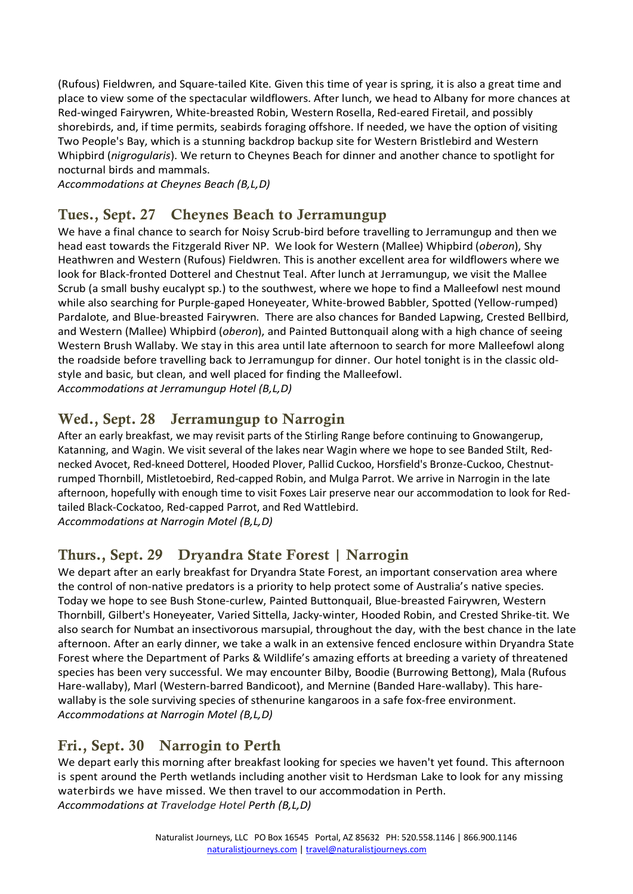(Rufous) Fieldwren, and Square-tailed Kite. Given this time of year is spring, it is also a great time and place to view some of the spectacular wildflowers. After lunch, we head to Albany for more chances at Red-winged Fairywren, White-breasted Robin, Western Rosella, Red-eared Firetail, and possibly shorebirds, and, if time permits, seabirds foraging offshore. If needed, we have the option of visiting Two People's Bay, which is a stunning backdrop backup site for Western Bristlebird and Western Whipbird (*nigrogularis*). We return to Cheynes Beach for dinner and another chance to spotlight for nocturnal birds and mammals.

*Accommodations at Cheynes Beach (B,L,D)*

#### Tues., Sept. 27 Cheynes Beach to Jerramungup

We have a final chance to search for Noisy Scrub-bird before travelling to Jerramungup and then we head east towards the Fitzgerald River NP. We look for Western (Mallee) Whipbird (*oberon*), Shy Heathwren and Western (Rufous) Fieldwren. This is another excellent area for wildflowers where we look for Black-fronted Dotterel and Chestnut Teal. After lunch at Jerramungup, we visit the Mallee Scrub (a small bushy eucalypt sp.) to the southwest, where we hope to find a Malleefowl nest mound while also searching for Purple-gaped Honeyeater, White-browed Babbler, Spotted (Yellow-rumped) Pardalote, and Blue-breasted Fairywren. There are also chances for Banded Lapwing, Crested Bellbird, and Western (Mallee) Whipbird (*oberon*), and Painted Buttonquail along with a high chance of seeing Western Brush Wallaby. We stay in this area until late afternoon to search for more Malleefowl along the roadside before travelling back to Jerramungup for dinner. Our hotel tonight is in the classic oldstyle and basic, but clean, and well placed for finding the Malleefowl. *Accommodations at Jerramungup Hotel (B,L,D)*

#### Wed., Sept. 28 Jerramungup to Narrogin

After an early breakfast, we may revisit parts of the Stirling Range before continuing to Gnowangerup, Katanning, and Wagin. We visit several of the lakes near Wagin where we hope to see Banded Stilt, Rednecked Avocet, Red-kneed Dotterel, Hooded Plover, Pallid Cuckoo, Horsfield's Bronze-Cuckoo, Chestnutrumped Thornbill, Mistletoebird, Red-capped Robin, and Mulga Parrot. We arrive in Narrogin in the late afternoon, hopefully with enough time to visit Foxes Lair preserve near our accommodation to look for Redtailed Black-Cockatoo, Red-capped Parrot, and Red Wattlebird. *Accommodations at Narrogin Motel (B,L,D)*

#### Thurs., Sept. 29 Dryandra State Forest | Narrogin

We depart after an early breakfast for Dryandra State Forest, an important conservation area where the control of non-native predators is a priority to help protect some of Australia's native species. Today we hope to see Bush Stone-curlew, Painted Buttonquail, Blue-breasted Fairywren, Western Thornbill, Gilbert's Honeyeater, Varied Sittella, Jacky-winter, Hooded Robin, and Crested Shrike-tit. We also search for Numbat an insectivorous marsupial, throughout the day, with the best chance in the late afternoon. After an early dinner, we take a walk in an extensive fenced enclosure within Dryandra State Forest where the Department of Parks & Wildlife's amazing efforts at breeding a variety of threatened species has been very successful. We may encounter Bilby, Boodie (Burrowing Bettong), Mala (Rufous Hare-wallaby), Marl (Western-barred Bandicoot), and Mernine (Banded Hare-wallaby). This harewallaby is the sole surviving species of sthenurine kangaroos in a safe fox-free environment. *Accommodations at Narrogin Motel (B,L,D)*

#### Fri., Sept. 30 Narrogin to Perth

We depart early this morning after breakfast looking for species we haven't yet found. This afternoon is spent around the Perth wetlands including another visit to Herdsman Lake to look for any missing waterbirds we have missed. We then travel to our accommodation in Perth. *Accommodations at Travelodge Hotel Perth (B,L,D)*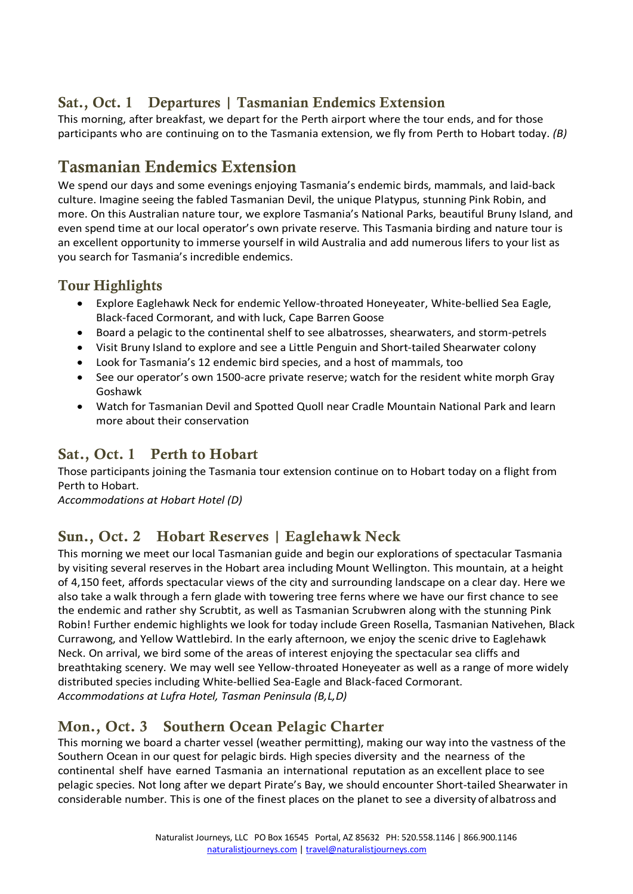# Sat., Oct. 1 Departures | Tasmanian Endemics Extension

This morning, after breakfast, we depart for the Perth airport where the tour ends, and for those participants who are continuing on to the Tasmania extension, we fly from Perth to Hobart today. *(B)*

# Tasmanian Endemics Extension

We spend our days and some evenings enjoying Tasmania's endemic birds, mammals, and laid-back culture. Imagine seeing the fabled Tasmanian Devil, the unique Platypus, stunning Pink Robin, and more. On this Australian nature tour, we explore Tasmania's National Parks, beautiful Bruny Island, and even spend time at our local operator's own private reserve. This Tasmania birding and nature tour is an excellent opportunity to immerse yourself in wild Australia and add numerous lifers to your list as you search for Tasmania's incredible endemics.

#### Tour Highlights

- Explore Eaglehawk Neck for endemic Yellow-throated Honeyeater, White-bellied Sea Eagle, Black-faced Cormorant, and with luck, Cape Barren Goose
- Board a pelagic to the continental shelf to see albatrosses, shearwaters, and storm-petrels
- Visit Bruny Island to explore and see a Little Penguin and Short-tailed Shearwater colony
- Look for Tasmania's 12 endemic bird species, and a host of mammals, too
- See our operator's own 1500-acre private reserve; watch for the resident white morph Gray Goshawk
- Watch for Tasmanian Devil and Spotted Quoll near Cradle Mountain National Park and learn more about their conservation

#### Sat., Oct. 1 Perth to Hobart

Those participants joining the Tasmania tour extension continue on to Hobart today on a flight from Perth to Hobart.

*Accommodations at Hobart Hotel (D)*

#### Sun., Oct. 2 Hobart Reserves | Eaglehawk Neck

This morning we meet our local Tasmanian guide and begin our explorations of spectacular Tasmania by visiting several reserves in the Hobart area including Mount Wellington. This mountain, at a height of 4,150 feet, affords spectacular views of the city and surrounding landscape on a clear day. Here we also take a walk through a fern glade with towering tree ferns where we have our first chance to see the endemic and rather shy Scrubtit, as well as Tasmanian Scrubwren along with the stunning Pink Robin! Further endemic highlights we look for today include Green Rosella, Tasmanian Nativehen, Black Currawong, and Yellow Wattlebird. In the early afternoon, we enjoy the scenic drive to Eaglehawk Neck. On arrival, we bird some of the areas of interest enjoying the spectacular sea cliffs and breathtaking scenery. We may well see Yellow-throated Honeyeater as well as a range of more widely distributed species including White-bellied Sea-Eagle and Black-faced Cormorant. *Accommodations at Lufra Hotel, Tasman Peninsula (B,L,D)*

### Mon., Oct. 3 Southern Ocean Pelagic Charter

This morning we board a charter vessel (weather permitting), making our way into the vastness of the Southern Ocean in our quest for pelagic birds. High species diversity and the nearness of the continental shelf have earned Tasmania an international reputation as an excellent place to see pelagic species. Not long after we depart Pirate's Bay, we should encounter Short-tailed Shearwater in considerable number. This is one of the finest places on the planet to see a diversity of albatross and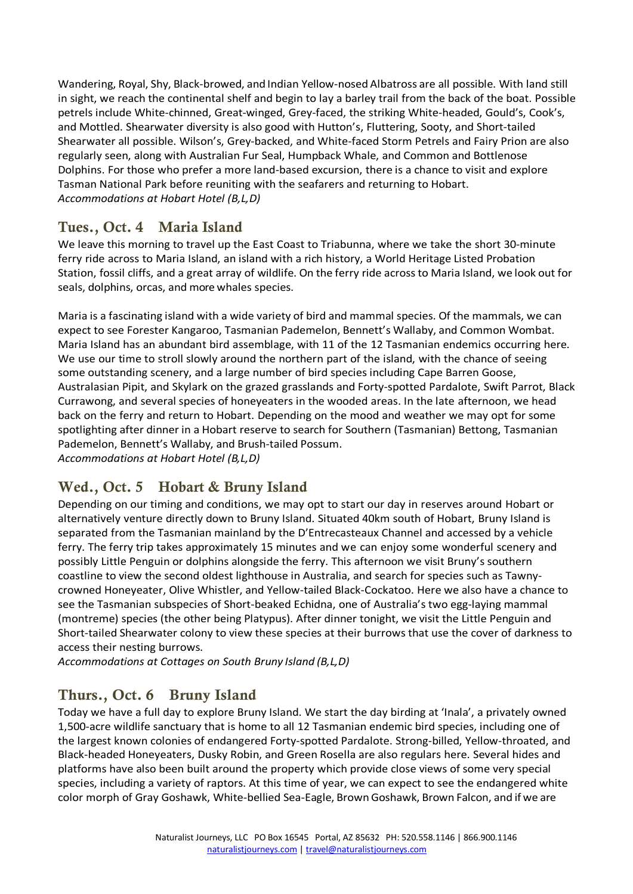Wandering, Royal, Shy, Black-browed, and Indian Yellow-nosed Albatross are all possible. With land still in sight, we reach the continental shelf and begin to lay a barley trail from the back of the boat. Possible petrels include White-chinned, Great-winged, Grey-faced, the striking White-headed, Gould's, Cook's, and Mottled. Shearwater diversity is also good with Hutton's, Fluttering, Sooty, and Short-tailed Shearwater all possible. Wilson's, Grey-backed, and White-faced Storm Petrels and Fairy Prion are also regularly seen, along with Australian Fur Seal, Humpback Whale, and Common and Bottlenose Dolphins. For those who prefer a more land-based excursion, there is a chance to visit and explore Tasman National Park before reuniting with the seafarers and returning to Hobart. *Accommodations at Hobart Hotel (B,L,D)*

#### Tues., Oct. 4 Maria Island

We leave this morning to travel up the East Coast to Triabunna, where we take the short 30-minute ferry ride across to Maria Island, an island with a rich history, a World Heritage Listed Probation Station, fossil cliffs, and a great array of wildlife. On the ferry ride acrossto Maria Island, we look out for seals, dolphins, orcas, and more whales species.

Maria is a fascinating island with a wide variety of bird and mammal species. Of the mammals, we can expect to see Forester Kangaroo, Tasmanian Pademelon, Bennett's Wallaby, and Common Wombat. Maria Island has an abundant bird assemblage, with 11 of the 12 Tasmanian endemics occurring here. We use our time to stroll slowly around the northern part of the island, with the chance of seeing some outstanding scenery, and a large number of bird species including Cape Barren Goose, Australasian Pipit, and Skylark on the grazed grasslands and Forty-spotted Pardalote, Swift Parrot, Black Currawong, and several species of honeyeaters in the wooded areas. In the late afternoon, we head back on the ferry and return to Hobart. Depending on the mood and weather we may opt for some spotlighting after dinner in a Hobart reserve to search for Southern (Tasmanian) Bettong, Tasmanian Pademelon, Bennett's Wallaby, and Brush-tailed Possum. *Accommodations at Hobart Hotel (B,L,D)*

#### Wed., Oct. 5 Hobart & Bruny Island

Depending on our timing and conditions, we may opt to start our day in reserves around Hobart or alternatively venture directly down to Bruny Island. Situated 40km south of Hobart, Bruny Island is separated from the Tasmanian mainland by the D'Entrecasteaux Channel and accessed by a vehicle ferry. The ferry trip takes approximately 15 minutes and we can enjoy some wonderful scenery and possibly Little Penguin or dolphins alongside the ferry. This afternoon we visit Bruny's southern coastline to view the second oldest lighthouse in Australia, and search for species such as Tawnycrowned Honeyeater, Olive Whistler, and Yellow-tailed Black-Cockatoo. Here we also have a chance to see the Tasmanian subspecies of Short-beaked Echidna, one of Australia's two egg-laying mammal (montreme) species (the other being Platypus). After dinner tonight, we visit the Little Penguin and Short-tailed Shearwater colony to view these species at their burrows that use the cover of darkness to access their nesting burrows.

*Accommodations at Cottages on South Bruny Island (B,L,D)*

#### Thurs., Oct. 6 Bruny Island

Today we have a full day to explore Bruny Island. We start the day birding at 'Inala', a privately owned 1,500-acre wildlife sanctuary that is home to all 12 Tasmanian endemic bird species, including one of the largest known colonies of endangered Forty-spotted Pardalote. Strong-billed, Yellow-throated, and Black-headed Honeyeaters, Dusky Robin, and Green Rosella are also regulars here. Several hides and platforms have also been built around the property which provide close views of some very special species, including a variety of raptors. At this time of year, we can expect to see the endangered white color morph of Gray Goshawk, White-bellied Sea-Eagle, Brown Goshawk, Brown Falcon, and if we are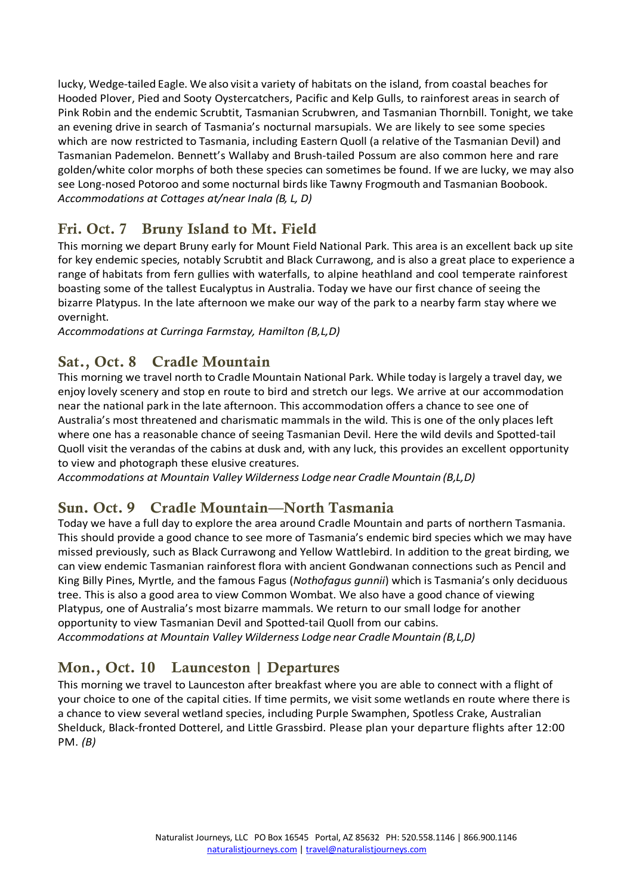lucky, Wedge-tailed Eagle. We also visit a variety of habitats on the island, from coastal beaches for Hooded Plover, Pied and Sooty Oystercatchers, Pacific and Kelp Gulls, to rainforest areas in search of Pink Robin and the endemic Scrubtit, Tasmanian Scrubwren, and Tasmanian Thornbill. Tonight, we take an evening drive in search of Tasmania's nocturnal marsupials. We are likely to see some species which are now restricted to Tasmania, including Eastern Quoll (a relative of the Tasmanian Devil) and Tasmanian Pademelon. Bennett's Wallaby and Brush-tailed Possum are also common here and rare golden/white color morphs of both these species can sometimes be found. If we are lucky, we may also see Long-nosed Potoroo and some nocturnal birds like Tawny Frogmouth and Tasmanian Boobook. *Accommodations at Cottages at/near Inala (B, L, D)*

### Fri. Oct. 7 Bruny Island to Mt. Field

This morning we depart Bruny early for Mount Field National Park. This area is an excellent back up site for key endemic species, notably Scrubtit and Black Currawong, and is also a great place to experience a range of habitats from fern gullies with waterfalls, to alpine heathland and cool temperate rainforest boasting some of the tallest Eucalyptus in Australia. Today we have our first chance of seeing the bizarre Platypus. In the late afternoon we make our way of the park to a nearby farm stay where we overnight.

*Accommodations at Curringa Farmstay, Hamilton (B,L,D)*

### Sat., Oct. 8 Cradle Mountain

This morning we travel north to Cradle Mountain National Park. While today islargely a travel day, we enjoy lovely scenery and stop en route to bird and stretch our legs. We arrive at our accommodation near the national park in the late afternoon. This accommodation offers a chance to see one of Australia's most threatened and charismatic mammals in the wild. This is one of the only places left where one has a reasonable chance of seeing Tasmanian Devil. Here the wild devils and Spotted-tail Quoll visit the verandas of the cabins at dusk and, with any luck, this provides an excellent opportunity to view and photograph these elusive creatures.

*Accommodations at Mountain Valley Wilderness Lodge near Cradle Mountain (B,L,D)*

#### Sun. Oct. 9 Cradle Mountain—North Tasmania

Today we have a full day to explore the area around Cradle Mountain and parts of northern Tasmania. This should provide a good chance to see more of Tasmania's endemic bird species which we may have missed previously, such as Black Currawong and Yellow Wattlebird. In addition to the great birding, we can view endemic Tasmanian rainforest flora with ancient Gondwanan connections such as Pencil and King Billy Pines, Myrtle, and the famous Fagus (*Nothofagus gunnii*) which is Tasmania's only deciduous tree. This is also a good area to view Common Wombat. We also have a good chance of viewing Platypus, one of Australia's most bizarre mammals. We return to our small lodge for another opportunity to view Tasmanian Devil and Spotted-tail Quoll from our cabins. *Accommodations at Mountain Valley Wilderness Lodge near Cradle Mountain (B,L,D)*

#### Mon., Oct. 10 Launceston | Departures

This morning we travel to Launceston after breakfast where you are able to connect with a flight of your choice to one of the capital cities. If time permits, we visit some wetlands en route where there is a chance to view several wetland species, including Purple Swamphen, Spotless Crake, Australian Shelduck, Black-fronted Dotterel, and Little Grassbird. Please plan your departure flights after 12:00 PM. *(B)*